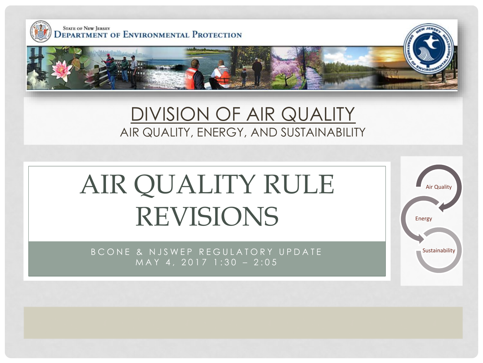

#### DIVISION OF AIR QUALITY AIR QUALITY, ENERGY, AND SUSTAINABILITY

# AIR QUALITY RULE REVISIONS

B C O N E & N J S W E P R E G U L A T O R Y U P D A T E THE THE THE THIS SUSTAIN IN THE SUSTAIN IN THE SUSTAIN MAY 4, 2017 1:30 - 2:05

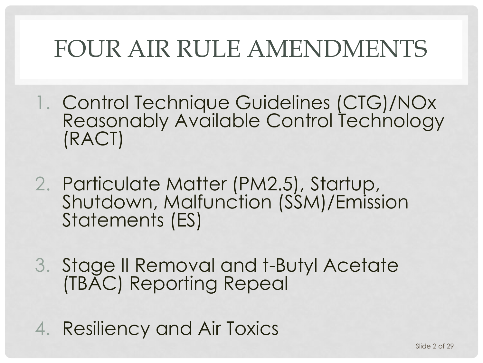### FOUR AIR RULE AMENDMENTS

- 1. Control Technique Guidelines (CTG)/NOx Reasonably Available Control Technology (RACT)
- 2. Particulate Matter (PM2.5), Startup, Shutdown, Malfunction (SSM)/Emission Statements (ES)
- 3. Stage II Removal and t-Butyl Acetate (TBAC) Reporting Repeal
- 4. Resiliency and Air Toxics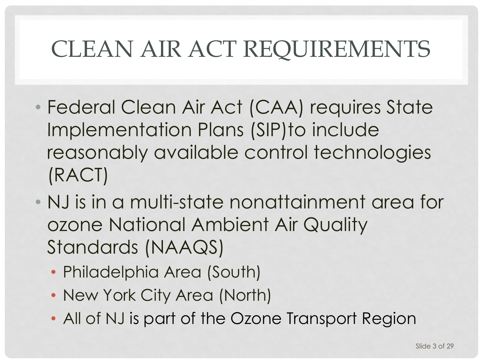### CLEAN AIR ACT REQUIREMENTS

- Federal Clean Air Act (CAA) requires State Implementation Plans (SIP)to include reasonably available control technologies (RACT)
- NJ is in a multi-state nonattainment area for ozone National Ambient Air Quality Standards (NAAQS)
	- Philadelphia Area (South)
	- New York City Area (North)
	- All of NJ is part of the Ozone Transport Region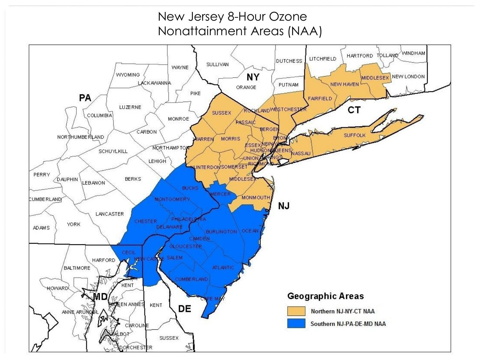#### New Jersey 8-Hour Ozone Nonattainment Areas (NAA)

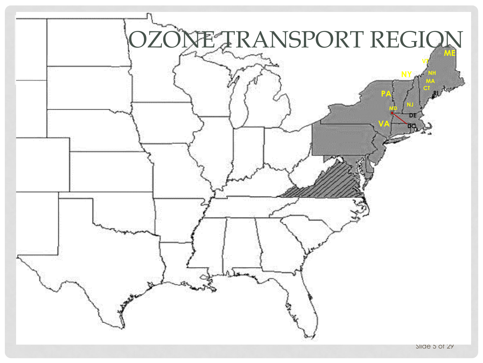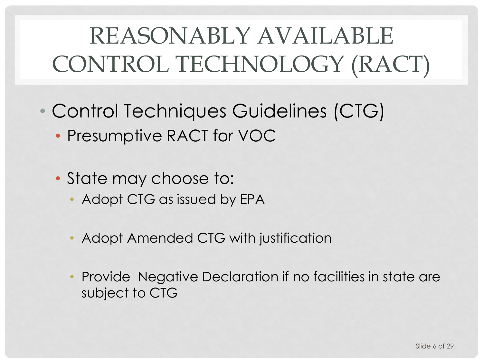# REASONABLY AVAILABLE CONTROL TECHNOLOGY (RACT)

- Control Techniques Guidelines (CTG)
	- Presumptive RACT for VOC
	- State may choose to:
		- Adopt CTG as issued by EPA
		- Adopt Amended CTG with justification
		- Provide Negative Declaration if no facilities in state are subject to CTG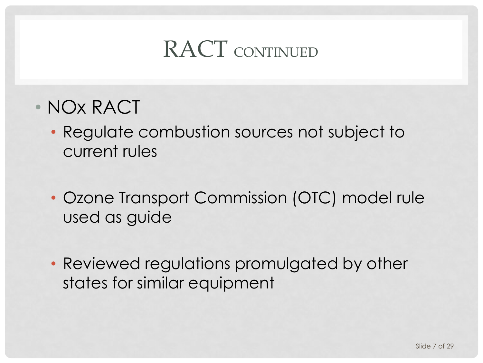### RACT CONTINUED

- NOx RACT
	- Regulate combustion sources not subject to current rules
	- Ozone Transport Commission (OTC) model rule used as guide
	- Reviewed regulations promulgated by other states for similar equipment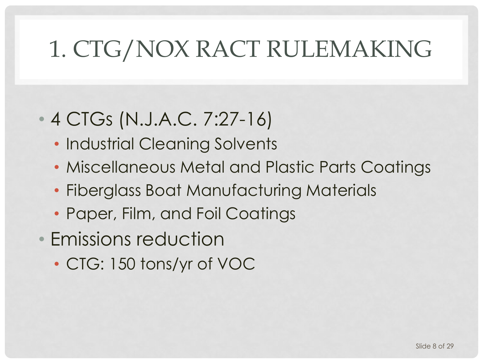### 1. CTG/NOX RACT RULEMAKING

### • 4 CTGs (N.J.A.C. 7:27-16)

- Industrial Cleaning Solvents
- Miscellaneous Metal and Plastic Parts Coatings
- Fiberglass Boat Manufacturing Materials
- Paper, Film, and Foil Coatings
- Emissions reduction
	- CTG: 150 tons/yr of VOC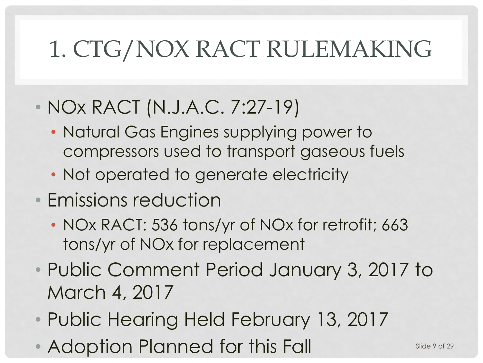### 1. CTG/NOX RACT RULEMAKING

#### • NOx RACT (N.J.A.C. 7:27-19)

- Natural Gas Engines supplying power to compressors used to transport gaseous fuels
- Not operated to generate electricity
- Emissions reduction
	- NOx RACT: 536 tons/yr of NOx for retrofit; 663 tons/yr of NOx for replacement
- Public Comment Period January 3, 2017 to March 4, 2017
- Public Hearing Held February 13, 2017
- Adoption Planned for this Fall Slide 9 of 29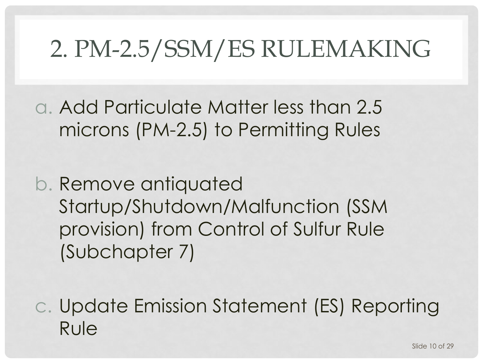### 2. PM-2.5/SSM/ES RULEMAKING

a. Add Particulate Matter less than 2.5 microns (PM-2.5) to Permitting Rules

b. Remove antiquated Startup/Shutdown/Malfunction (SSM provision) from Control of Sulfur Rule (Subchapter 7)

c. Update Emission Statement (ES) Reporting Rule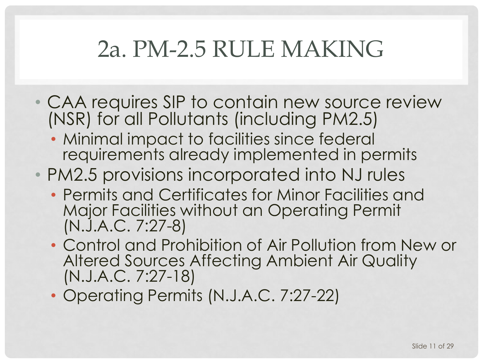### 2a. PM-2.5 RULE MAKING

- CAA requires SIP to contain new source review (NSR) for all Pollutants (including PM2.5)
	- Minimal impact to facilities since federal requirements already implemented in permits
- PM2.5 provisions incorporated into NJ rules
	- Permits and Certificates for Minor Facilities and Major Facilities without an Operating Permit (N.J.A.C. 7:27-8)
	- Control and Prohibition of Air Pollution from New or Altered Sources Affecting Ambient Air Quality (N.J.A.C. 7:27-18)
	- Operating Permits (N.J.A.C. 7:27-22)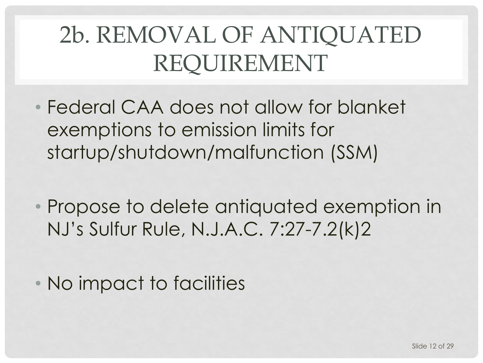## 2b. REMOVAL OF ANTIQUATED REQUIREMENT

- Federal CAA does not allow for blanket exemptions to emission limits for startup/shutdown/malfunction (SSM)
- Propose to delete antiquated exemption in NJ's Sulfur Rule, N.J.A.C. 7:27-7.2(k)2
- No impact to facilities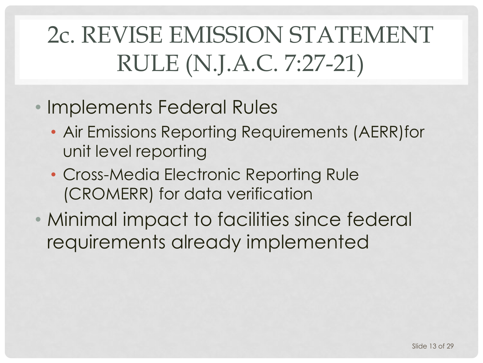## 2c. REVISE EMISSION STATEMENT RULE (N.J.A.C. 7:27-21)

- Implements Federal Rules
	- Air Emissions Reporting Requirements (AERR)for unit level reporting
	- Cross-Media Electronic Reporting Rule (CROMERR) for data verification
- Minimal impact to facilities since federal requirements already implemented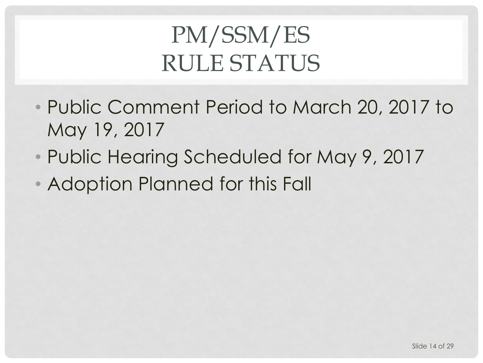## PM/SSM/ES RULE STATUS

- Public Comment Period to March 20, 2017 to May 19, 2017
- Public Hearing Scheduled for May 9, 2017
- Adoption Planned for this Fall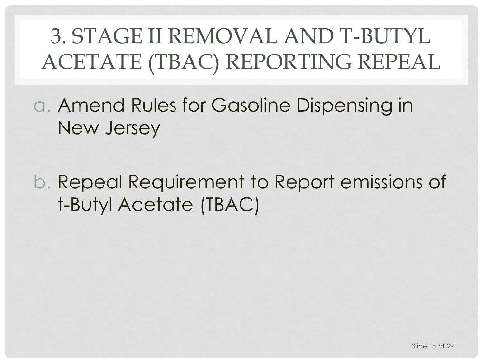### 3. STAGE II REMOVAL AND T-BUTYL ACETATE (TBAC) REPORTING REPEAL

a. Amend Rules for Gasoline Dispensing in New Jersey

b. Repeal Requirement to Report emissions of t-Butyl Acetate (TBAC)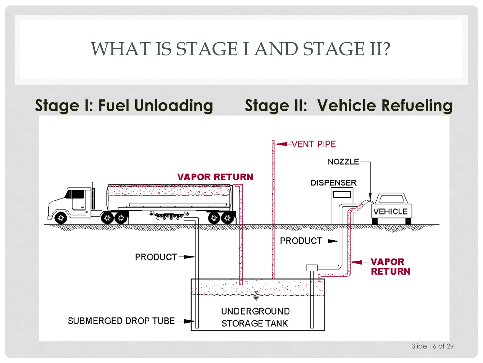#### WHAT IS STAGE I AND STAGE II?

#### **Stage I: Fuel Unloading Stage II: Vehicle Refueling**

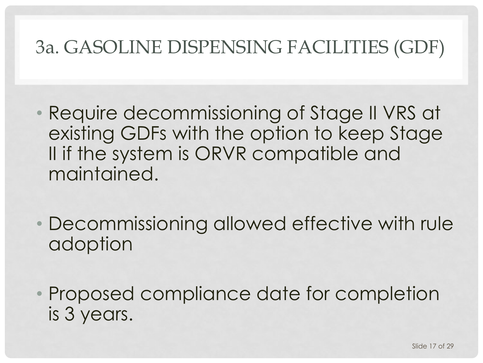#### 3a. GASOLINE DISPENSING FACILITIES (GDF)

- Require decommissioning of Stage II VRS at existing GDFs with the option to keep Stage II if the system is ORVR compatible and maintained.
- Decommissioning allowed effective with rule adoption
- Proposed compliance date for completion is 3 years.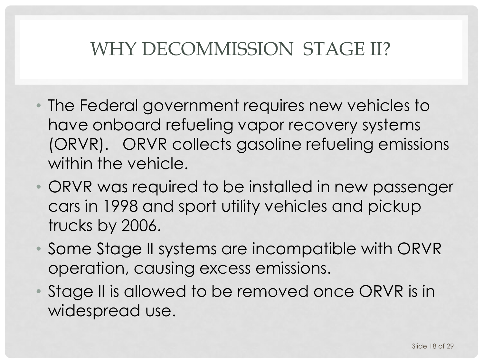#### WHY DECOMMISSION STAGE II?

- The Federal government requires new vehicles to have onboard refueling vapor recovery systems (ORVR). ORVR collects gasoline refueling emissions within the vehicle.
- ORVR was required to be installed in new passenger cars in 1998 and sport utility vehicles and pickup trucks by 2006.
- Some Stage II systems are incompatible with ORVR operation, causing excess emissions.
- Stage II is allowed to be removed once ORVR is in widespread use.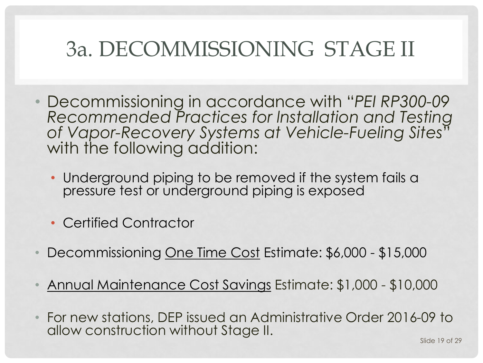### 3a. DECOMMISSIONING STAGE II

- Decommissioning in accordance with "*PEI RP300-09 Recommended Practices for lnstallation and Testing of Vapor-Recovery Systems at Vehicle-Fueling Sites*" with the following addition:
	- Underground piping to be removed if the system fails a pressure test or underground piping is exposed
	- Certified Contractor
- Decommissioning One Time Cost Estimate: \$6,000 \$15,000
- Annual Maintenance Cost Savings Estimate: \$1,000 \$10,000
- For new stations, DEP issued an Administrative Order 2016-09 to allow construction without Stage II.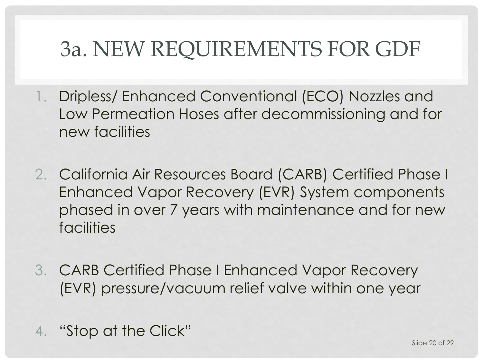### 3a. NEW REQUIREMENTS FOR GDF

- 1. Dripless/ Enhanced Conventional (ECO) Nozzles and Low Permeation Hoses after decommissioning and for new facilities
- 2. California Air Resources Board (CARB) Certified Phase I Enhanced Vapor Recovery (EVR) System components phased in over 7 years with maintenance and for new facilities
- 3. CARB Certified Phase I Enhanced Vapor Recovery (EVR) pressure/vacuum relief valve within one year
- 4. "Stop at the Click"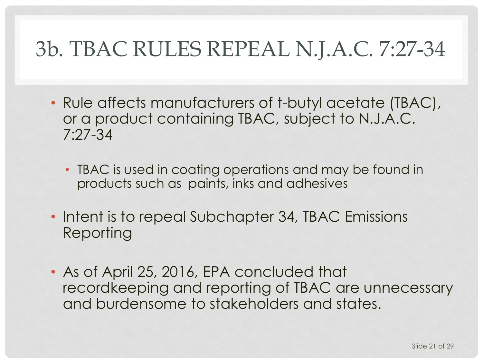### 3b. TBAC RULES REPEAL N.J.A.C. 7:27-34

- Rule affects manufacturers of t-butyl acetate (TBAC), or a product containing TBAC, subject to N.J.A.C. 7:27-34
	- TBAC is used in coating operations and may be found in products such as paints, inks and adhesives
- Intent is to repeal Subchapter 34, TBAC Emissions Reporting
- As of April 25, 2016, EPA concluded that recordkeeping and reporting of TBAC are unnecessary and burdensome to stakeholders and states.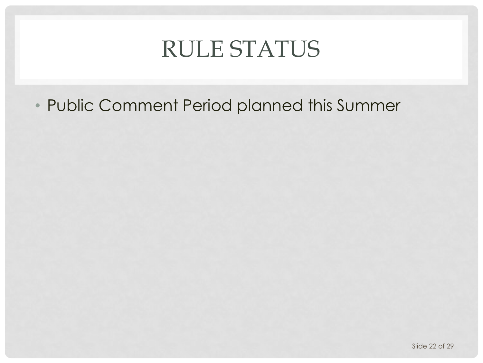### RULE STATUS

• Public Comment Period planned this Summer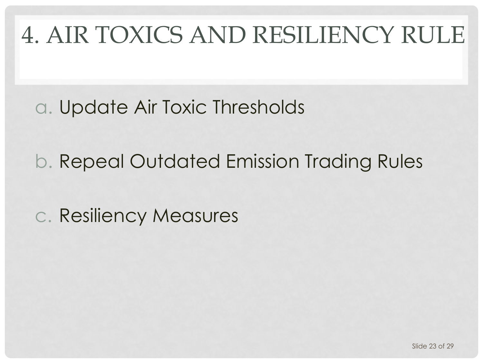# 4. AIR TOXICS AND RESILIENCY RULE

a. Update Air Toxic Thresholds

b. Repeal Outdated Emission Trading Rules

c. Resiliency Measures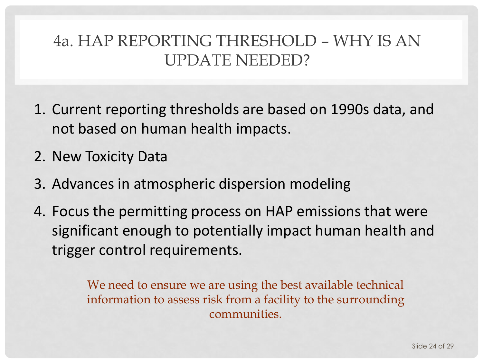#### 4a. HAP REPORTING THRESHOLD – WHY IS AN UPDATE NEEDED?

- 1. Current reporting thresholds are based on 1990s data, and not based on human health impacts.
- 2. New Toxicity Data
- 3. Advances in atmospheric dispersion modeling
- 4. Focus the permitting process on HAP emissions that were significant enough to potentially impact human health and trigger control requirements.

We need to ensure we are using the best available technical information to assess risk from a facility to the surrounding communities.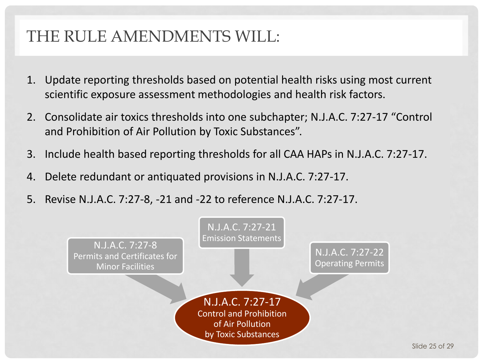#### THE RULE AMENDMENTS WILL:

- 1. Update reporting thresholds based on potential health risks using most current scientific exposure assessment methodologies and health risk factors.
- 2. Consolidate air toxics thresholds into one subchapter; N.J.A.C. 7:27-17 "Control and Prohibition of Air Pollution by Toxic Substances".
- 3. Include health based reporting thresholds for all CAA HAPs in N.J.A.C. 7:27-17.
- 4. Delete redundant or antiquated provisions in N.J.A.C. 7:27-17.
- 5. Revise N.J.A.C. 7:27-8, -21 and -22 to reference N.J.A.C. 7:27-17.

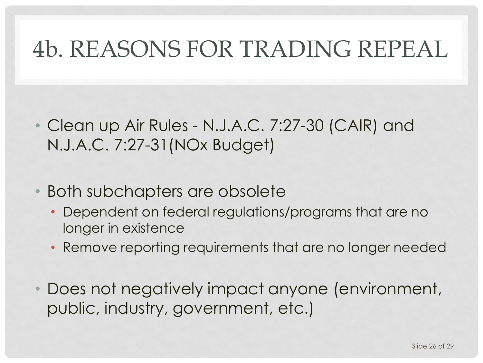### 4b. REASONS FOR TRADING REPEAL

- Clean up Air Rules N.J.A.C. 7:27-30 (CAIR) and N.J.A.C. 7:27-31(NOx Budget)
- Both subchapters are obsolete
	- Dependent on federal regulations/programs that are no longer in existence
	- Remove reporting requirements that are no longer needed
- Does not negatively impact anyone (environment, public, industry, government, etc.)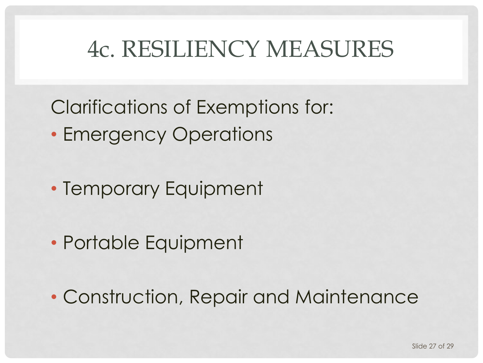### 4c. RESILIENCY MEASURES

Clarifications of Exemptions for: • Emergency Operations

• Temporary Equipment

• Portable Equipment

• Construction, Repair and Maintenance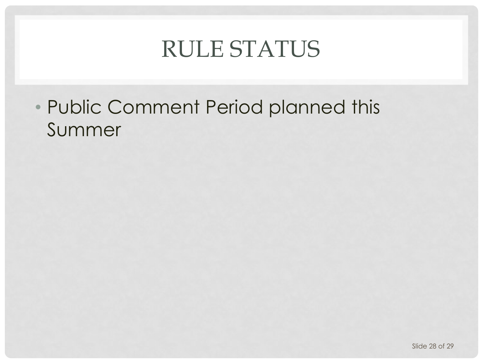### RULE STATUS

#### • Public Comment Period planned this Summer